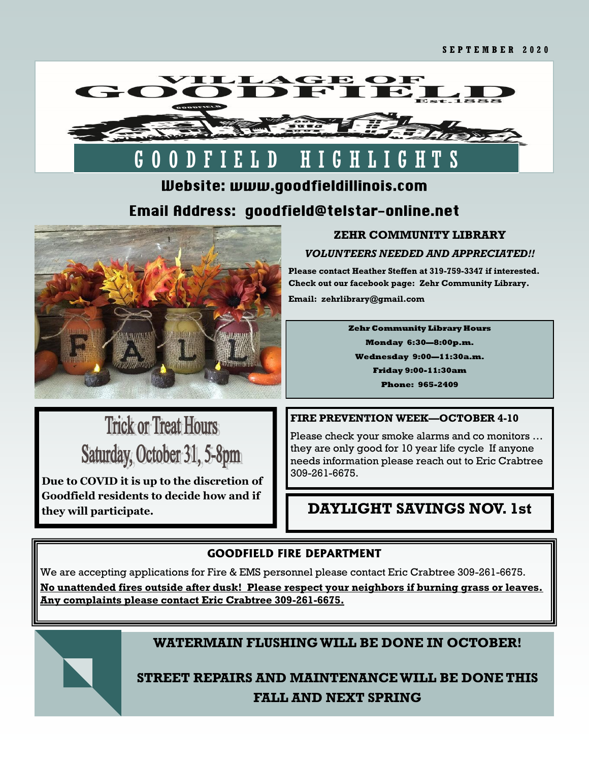

# G O O D F I E L D H I G H L I G H T S

# Website: www.goodfieldillinois.com Email Address: goodfield@telstar-online.net



# **ZEHR COMMUNITY LIBRARY**

### *VOLUNTEERS NEEDED AND APPRECIATED!!*

**Please contact Heather Steffen at 319-759-3347 if interested. Check out our facebook page: Zehr Community Library. Email: zehrlibrary@gmail.com**

> **Zehr Community Library Hours Monday 6:30—8:00p.m. Wednesday 9:00—11:30a.m. Friday 9:00-11:30am Phone: 965-2409**

# **Trick or Treat Hours** Saturday, October 31, 5-8pm

**Due to COVID it is up to the discretion of Goodfield residents to decide how and if they will participate.**

## **FIRE PREVENTION WEEK—OCTOBER 4-10**

Please check your smoke alarms and co monitors … they are only good for 10 year life cycle If anyone needs information please reach out to Eric Crabtree 309-261-6675.

# **DAYLIGHT SAVINGS NOV. 1st**

## **GOODFIELD FIRE DEPARTMENT**

We are accepting applications for Fire & EMS personnel please contact Eric Crabtree 309-261-6675.

**No unattended fires outside after dusk! Please respect your neighbors if burning grass or leaves. Any complaints please contact Eric Crabtree 309-261-6675.**



## **WATERMAIN FLUSHING WILL BE DONE IN OCTOBER!**

**STREET REPAIRS AND MAINTENANCE WILL BE DONE THIS FALL AND NEXT SPRING**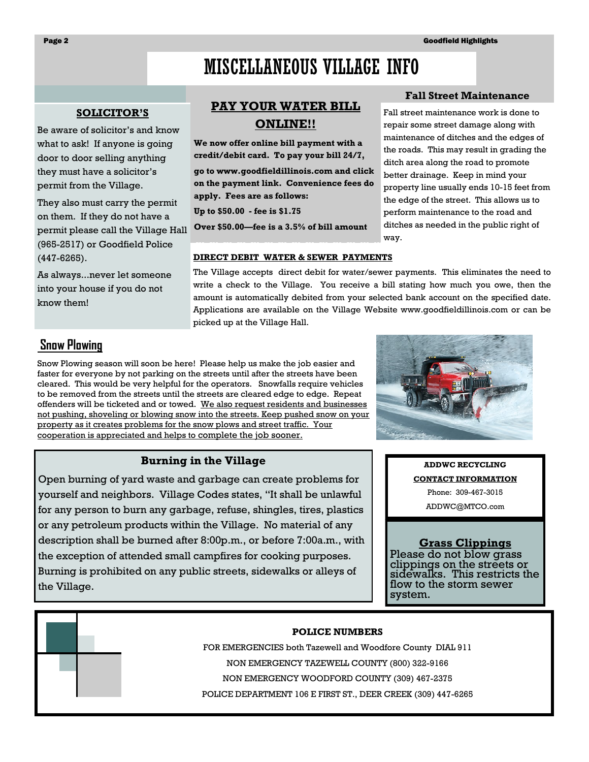**Fall Street Maintenance** Fall street maintenance work is done to repair some street damage along with maintenance of ditches and the edges of the roads. This may result in grading the ditch area along the road to promote better drainage. Keep in mind your property line usually ends 10-15 feet from the edge of the street. This allows us to perform maintenance to the road and ditches as needed in the public right of

# MISCELLANEOUS VILLAGE INFO

#### **SOLICITOR'S**

Be aware of solicitor's and know what to ask! If anyone is going door to door selling anything they must have a solicitor's permit from the Village.

They also must carry the permit on them. If they do not have a permit please call the Village Hall (965-2517) or Goodfield Police (447-6265).

As always...never let someone into your house if you do not know them!

## **PAY YOUR WATER BILL ONLINE!!**

**We now offer online bill payment with a credit/debit card. To pay your bill 24/7, go to www.goodfieldillinois.com and click on the payment link. Convenience fees do apply. Fees are as follows:**

**Up to \$50.00 - fee is \$1.75**

**Over \$50.00—fee is a 3.5% of bill amount**

#### **DIRECT DEBIT WATER & SEWER PAYMENTS**

The Village accepts direct debit for water/sewer payments. This eliminates the need to write a check to the Village. You receive a bill stating how much you owe, then the amount is automatically debited from your selected bank account on the specified date. Applications are available on the Village Website www.goodfieldillinois.com or can be picked up at the Village Hall.

way.

# **Snow Plowing**

Snow Plowing season will soon be here! Please help us make the job easier and faster for everyone by not parking on the streets until after the streets have been cleared. This would be very helpful for the operators. Snowfalls require vehicles to be removed from the streets until the streets are cleared edge to edge. Repeat offenders will be ticketed and or towed. We also request residents and businesses not pushing, shoveling or blowing snow into the streets. Keep pushed snow on your property as it creates problems for the snow plows and street traffic. Your cooperation is appreciated and helps to complete the job sooner.

#### **Burning in the Village**

Open burning of yard waste and garbage can create problems for yourself and neighbors. Village Codes states, "It shall be unlawful for any person to burn any garbage, refuse, shingles, tires, plastics or any petroleum products within the Village. No material of any description shall be burned after 8:00p.m., or before 7:00a.m., with the exception of attended small campfires for cooking purposes. Burning is prohibited on any public streets, sidewalks or alleys of the Village.

**ADDWC RECYCLING CONTACT INFORMATION** Phone: 309-467-3015 ADDWC@MTCO.com

#### **Grass Clippings**

Please do not blow grass clippings on the streets or sidewalks. This restricts the flow to the storm sewer system.

#### **POLICE NUMBERS**

FOR EMERGENCIES both Tazewell and Woodfore County DIAL 911 NON EMERGENCY TAZEWELL COUNTY (800) 322-9166 NON EMERGENCY WOODFORD COUNTY (309) 467-2375 POLICE DEPARTMENT 106 E FIRST ST., DEER CREEK (309) 447-6265